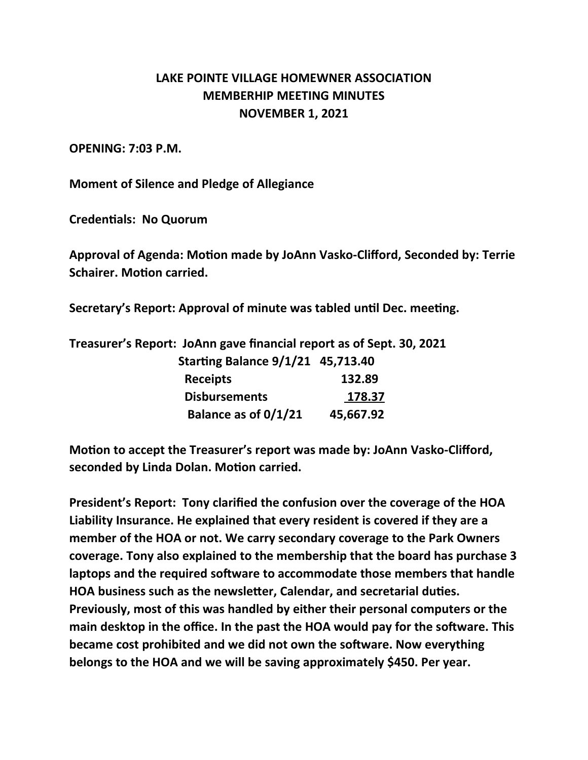## **LAKE POINTE VILLAGE HOMEWNER ASSOCIATION MEMBERHIP MEETING MINUTES NOVEMBER 1, 2021**

## **OPENING: 7:03 P.M.**

**Moment of Silence and Pledge of Allegiance**

**Credentials: No Quorum**

**Approval of Agenda: Motion made by JoAnn Vasko-Clifford, Seconded by: Terrie Schairer. Motion carried.**

**Secretary's Report: Approval of minute was tabled until Dec. meeting.**

**Treasurer's Report: JoAnn gave financial report as of Sept. 30, 2021**

| <b>Starting Balance 9/1/21 45,713.40</b> |           |
|------------------------------------------|-----------|
| <b>Receipts</b>                          | 132.89    |
| <b>Disbursements</b>                     | 178.37    |
| Balance as of 0/1/21                     | 45,667.92 |

**Motion to accept the Treasurer's report was made by: JoAnn Vasko-Clifford, seconded by Linda Dolan. Motion carried.**

**President's Report: Tony clarified the confusion over the coverage of the HOA Liability Insurance. He explained that every resident is covered if they are a member of the HOA or not. We carry secondary coverage to the Park Owners coverage. Tony also explained to the membership that the board has purchase 3 laptops and the required software to accommodate those members that handle HOA business such as the newsletter, Calendar, and secretarial duties. Previously, most of this was handled by either their personal computers or the main desktop in the office. In the past the HOA would pay for the software. This became cost prohibited and we did not own the software. Now everything belongs to the HOA and we will be saving approximately \$450. Per year.**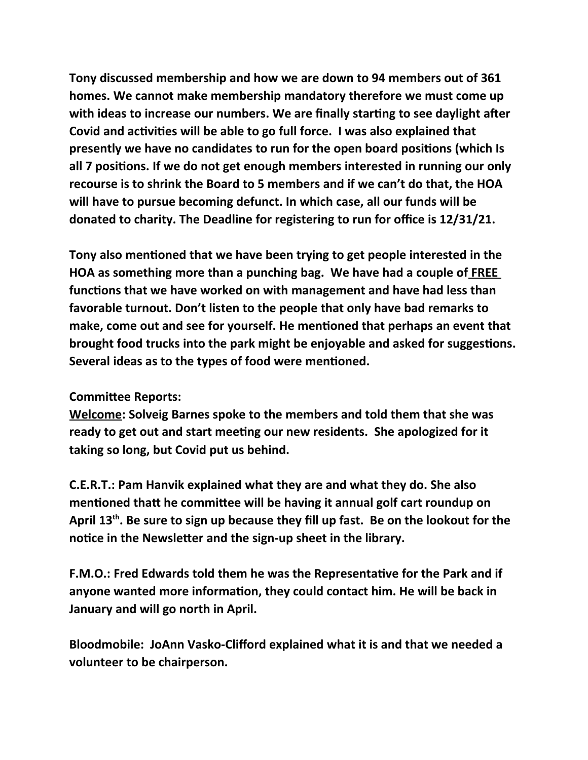**Tony discussed membership and how we are down to 94 members out of 361 homes. We cannot make membership mandatory therefore we must come up with ideas to increase our numbers. We are finally starting to see daylight after Covid and activities will be able to go full force. I was also explained that presently we have no candidates to run for the open board positions (which Is all 7 positions. If we do not get enough members interested in running our only recourse is to shrink the Board to 5 members and if we can't do that, the HOA will have to pursue becoming defunct. In which case, all our funds will be donated to charity. The Deadline for registering to run for office is 12/31/21.**

**Tony also mentioned that we have been trying to get people interested in the HOA as something more than a punching bag. We have had a couple of FREE functions that we have worked on with management and have had less than favorable turnout. Don't listen to the people that only have bad remarks to make, come out and see for yourself. He mentioned that perhaps an event that brought food trucks into the park might be enjoyable and asked for suggestions. Several ideas as to the types of food were mentioned.** 

## **Committee Reports:**

**Welcome: Solveig Barnes spoke to the members and told them that she was ready to get out and start meeting our new residents. She apologized for it taking so long, but Covid put us behind.**

**C.E.R.T.: Pam Hanvik explained what they are and what they do. She also mentioned thatt he committee will be having it annual golf cart roundup on April 13th. Be sure to sign up because they fill up fast. Be on the lookout for the notice in the Newsletter and the sign-up sheet in the library.**

**F.M.O.: Fred Edwards told them he was the Representative for the Park and if anyone wanted more information, they could contact him. He will be back in January and will go north in April.**

**Bloodmobile: JoAnn Vasko-Clifford explained what it is and that we needed a volunteer to be chairperson.**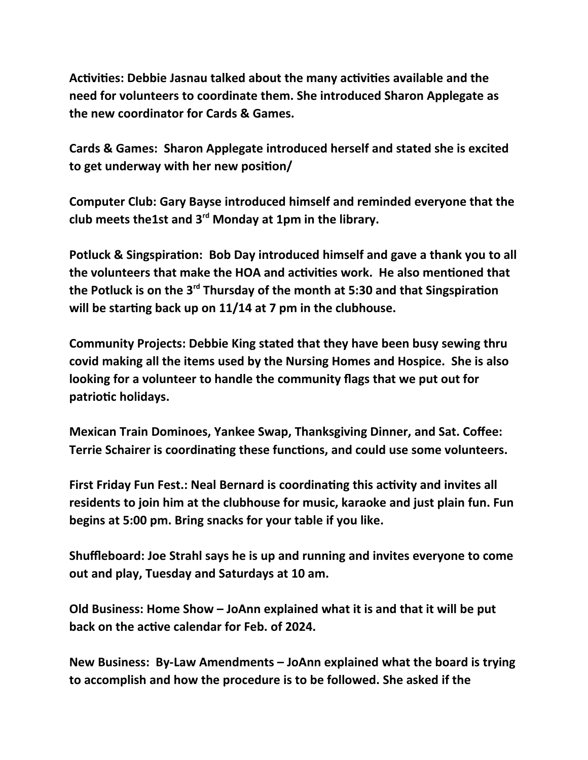**Activities: Debbie Jasnau talked about the many activities available and the need for volunteers to coordinate them. She introduced Sharon Applegate as the new coordinator for Cards & Games.**

**Cards & Games: Sharon Applegate introduced herself and stated she is excited to get underway with her new position/**

**Computer Club: Gary Bayse introduced himself and reminded everyone that the club meets the1st and 3rd Monday at 1pm in the library.**

**Potluck & Singspiration: Bob Day introduced himself and gave a thank you to all the volunteers that make the HOA and activities work. He also mentioned that the Potluck is on the 3rd Thursday of the month at 5:30 and that Singspiration will be starting back up on 11/14 at 7 pm in the clubhouse.**

**Community Projects: Debbie King stated that they have been busy sewing thru covid making all the items used by the Nursing Homes and Hospice. She is also looking for a volunteer to handle the community flags that we put out for patriotic holidays.**

**Mexican Train Dominoes, Yankee Swap, Thanksgiving Dinner, and Sat. Coffee: Terrie Schairer is coordinating these functions, and could use some volunteers.**

**First Friday Fun Fest.: Neal Bernard is coordinating this activity and invites all residents to join him at the clubhouse for music, karaoke and just plain fun. Fun begins at 5:00 pm. Bring snacks for your table if you like.**

**Shuffleboard: Joe Strahl says he is up and running and invites everyone to come out and play, Tuesday and Saturdays at 10 am.**

**Old Business: Home Show – JoAnn explained what it is and that it will be put back on the active calendar for Feb. of 2024.**

**New Business: By-Law Amendments – JoAnn explained what the board is trying to accomplish and how the procedure is to be followed. She asked if the**